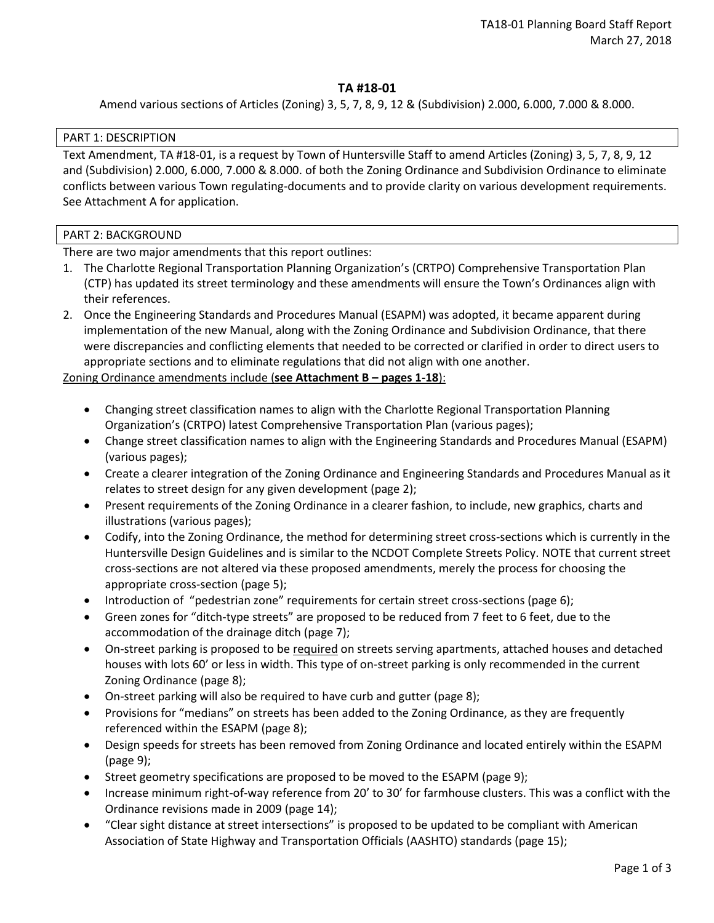# **TA #18-01**

Amend various sections of Articles (Zoning) 3, 5, 7, 8, 9, 12 & (Subdivision) 2.000, 6.000, 7.000 & 8.000.

## PART 1: DESCRIPTION

Text Amendment, TA #18-01, is a request by Town of Huntersville Staff to amend Articles (Zoning) 3, 5, 7, 8, 9, 12 and (Subdivision) 2.000, 6.000, 7.000 & 8.000. of both the Zoning Ordinance and Subdivision Ordinance to eliminate conflicts between various Town regulating-documents and to provide clarity on various development requirements. See Attachment A for application.

## PART 2: BACKGROUND

There are two major amendments that this report outlines:

- 1. The Charlotte Regional Transportation Planning Organization's (CRTPO) Comprehensive Transportation Plan (CTP) has updated its street terminology and these amendments will ensure the Town's Ordinances align with their references.
- 2. Once the Engineering Standards and Procedures Manual (ESAPM) was adopted, it became apparent during implementation of the new Manual, along with the Zoning Ordinance and Subdivision Ordinance, that there were discrepancies and conflicting elements that needed to be corrected or clarified in order to direct users to appropriate sections and to eliminate regulations that did not align with one another.

## Zoning Ordinance amendments include (**see Attachment B – pages 1-18**):

- Changing street classification names to align with the Charlotte Regional Transportation Planning Organization's (CRTPO) latest Comprehensive Transportation Plan (various pages);
- Change street classification names to align with the Engineering Standards and Procedures Manual (ESAPM) (various pages);
- Create a clearer integration of the Zoning Ordinance and Engineering Standards and Procedures Manual as it relates to street design for any given development (page 2);
- Present requirements of the Zoning Ordinance in a clearer fashion, to include, new graphics, charts and illustrations (various pages);
- Codify, into the Zoning Ordinance, the method for determining street cross-sections which is currently in the Huntersville Design Guidelines and is similar to the NCDOT Complete Streets Policy. NOTE that current street cross-sections are not altered via these proposed amendments, merely the process for choosing the appropriate cross-section (page 5);
- Introduction of "pedestrian zone" requirements for certain street cross-sections (page 6);
- Green zones for "ditch-type streets" are proposed to be reduced from 7 feet to 6 feet, due to the accommodation of the drainage ditch (page 7);
- On-street parking is proposed to be required on streets serving apartments, attached houses and detached houses with lots 60' or less in width. This type of on-street parking is only recommended in the current Zoning Ordinance (page 8);
- On-street parking will also be required to have curb and gutter (page 8);
- Provisions for "medians" on streets has been added to the Zoning Ordinance, as they are frequently referenced within the ESAPM (page 8);
- Design speeds for streets has been removed from Zoning Ordinance and located entirely within the ESAPM (page 9);
- Street geometry specifications are proposed to be moved to the ESAPM (page 9);
- Increase minimum right-of-way reference from 20' to 30' for farmhouse clusters. This was a conflict with the Ordinance revisions made in 2009 (page 14);
- "Clear sight distance at street intersections" is proposed to be updated to be compliant with American Association of State Highway and Transportation Officials (AASHTO) standards (page 15);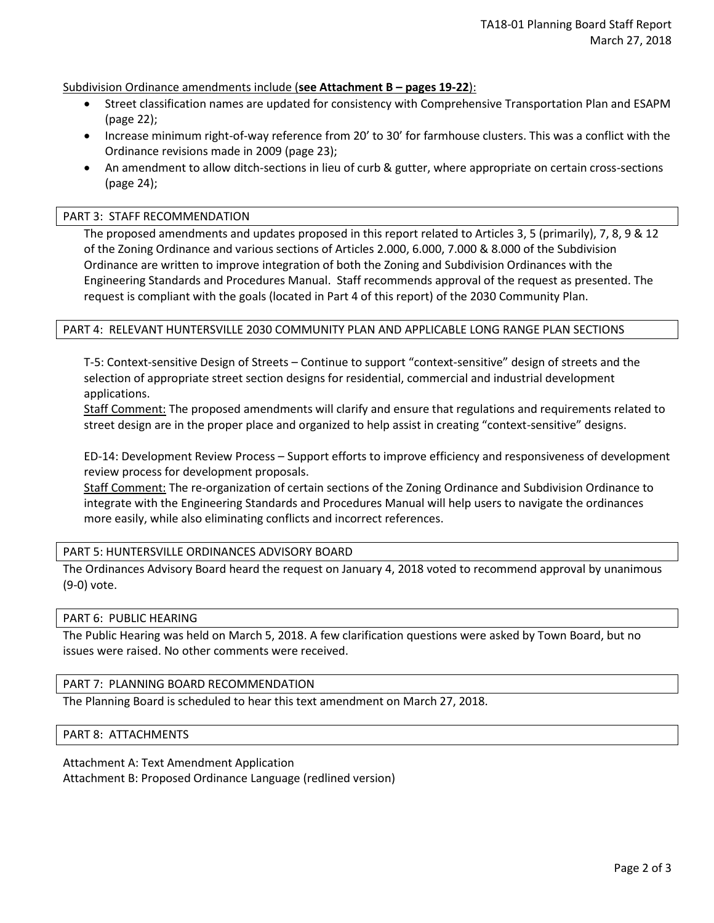Subdivision Ordinance amendments include (**see Attachment B – pages 19-22**):

- Street classification names are updated for consistency with Comprehensive Transportation Plan and ESAPM (page 22);
- Increase minimum right-of-way reference from 20' to 30' for farmhouse clusters. This was a conflict with the Ordinance revisions made in 2009 (page 23);
- An amendment to allow ditch-sections in lieu of curb & gutter, where appropriate on certain cross-sections (page 24);

#### PART 3: STAFF RECOMMENDATION

The proposed amendments and updates proposed in this report related to Articles 3, 5 (primarily), 7, 8, 9 & 12 of the Zoning Ordinance and various sections of Articles 2.000, 6.000, 7.000 & 8.000 of the Subdivision Ordinance are written to improve integration of both the Zoning and Subdivision Ordinances with the Engineering Standards and Procedures Manual. Staff recommends approval of the request as presented. The request is compliant with the goals (located in Part 4 of this report) of the 2030 Community Plan.

#### PART 4: RELEVANT HUNTERSVILLE 2030 COMMUNITY PLAN AND APPLICABLE LONG RANGE PLAN SECTIONS

T-5: Context-sensitive Design of Streets – Continue to support "context-sensitive" design of streets and the selection of appropriate street section designs for residential, commercial and industrial development applications.

Staff Comment: The proposed amendments will clarify and ensure that regulations and requirements related to street design are in the proper place and organized to help assist in creating "context-sensitive" designs.

ED-14: Development Review Process – Support efforts to improve efficiency and responsiveness of development review process for development proposals.

Staff Comment: The re-organization of certain sections of the Zoning Ordinance and Subdivision Ordinance to integrate with the Engineering Standards and Procedures Manual will help users to navigate the ordinances more easily, while also eliminating conflicts and incorrect references.

#### PART 5: HUNTERSVILLE ORDINANCES ADVISORY BOARD

The Ordinances Advisory Board heard the request on January 4, 2018 voted to recommend approval by unanimous (9-0) vote.

#### PART 6: PUBLIC HEARING

The Public Hearing was held on March 5, 2018. A few clarification questions were asked by Town Board, but no issues were raised. No other comments were received.

#### PART 7: PLANNING BOARD RECOMMENDATION

The Planning Board is scheduled to hear this text amendment on March 27, 2018.

#### PART 8: ATTACHMENTS

Attachment A: Text Amendment Application

Attachment B: Proposed Ordinance Language (redlined version)